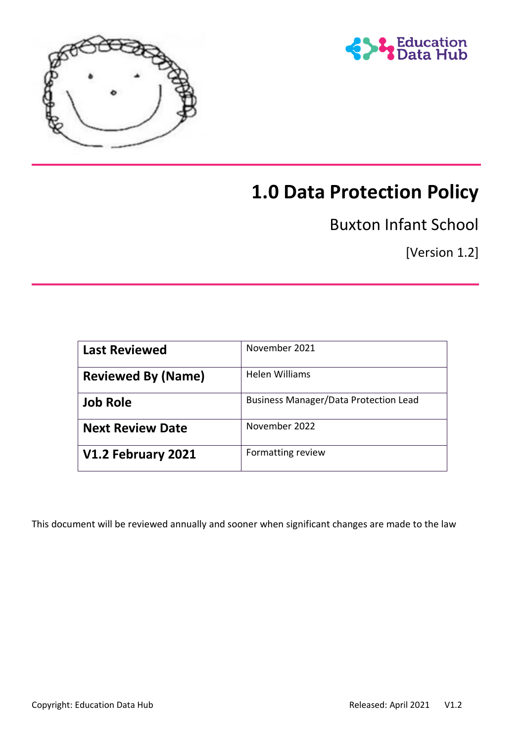



# **1.0 Data Protection Policy**

Buxton Infant School

[Version 1.2]

| <b>Last Reviewed</b>      | November 2021                                |
|---------------------------|----------------------------------------------|
| <b>Reviewed By (Name)</b> | Helen Williams                               |
| <b>Job Role</b>           | <b>Business Manager/Data Protection Lead</b> |
| <b>Next Review Date</b>   | November 2022                                |
| V1.2 February 2021        | Formatting review                            |

This document will be reviewed annually and sooner when significant changes are made to the law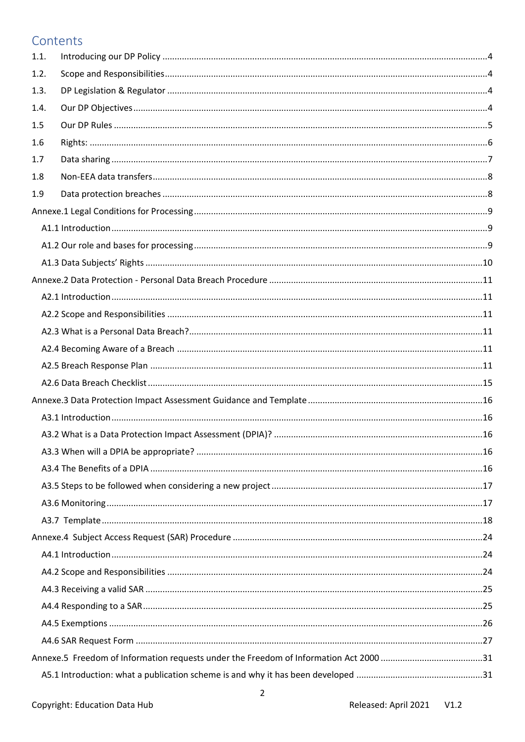# Contents

| 1.1. |  |
|------|--|
| 1.2. |  |
| 1.3. |  |
| 1.4. |  |
| 1.5  |  |
| 1.6  |  |
| 1.7  |  |
| 1.8  |  |
| 1.9  |  |
|      |  |
|      |  |
|      |  |
|      |  |
|      |  |
|      |  |
|      |  |
|      |  |
|      |  |
|      |  |
|      |  |
|      |  |
|      |  |
|      |  |
|      |  |
|      |  |
|      |  |
|      |  |
|      |  |
|      |  |
|      |  |
|      |  |
|      |  |
|      |  |
|      |  |
|      |  |
|      |  |
|      |  |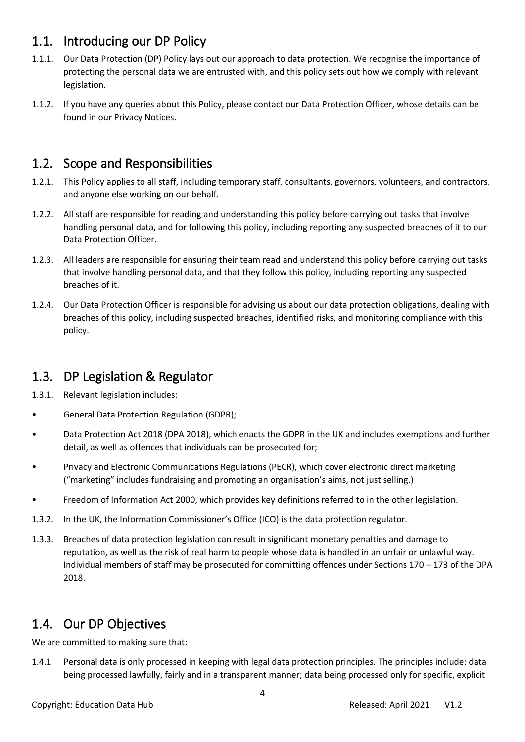# <span id="page-3-0"></span>1.1. Introducing our DP Policy

- 1.1.1. Our Data Protection (DP) Policy lays out our approach to data protection. We recognise the importance of protecting the personal data we are entrusted with, and this policy sets out how we comply with relevant legislation.
- 1.1.2. If you have any queries about this Policy, please contact our Data Protection Officer, whose details can be found in our Privacy Notices.

# <span id="page-3-1"></span>1.2. Scope and Responsibilities

- 1.2.1. This Policy applies to all staff, including temporary staff, consultants, governors, volunteers, and contractors, and anyone else working on our behalf.
- 1.2.2. All staff are responsible for reading and understanding this policy before carrying out tasks that involve handling personal data, and for following this policy, including reporting any suspected breaches of it to our Data Protection Officer.
- 1.2.3. All leaders are responsible for ensuring their team read and understand this policy before carrying out tasks that involve handling personal data, and that they follow this policy, including reporting any suspected breaches of it.
- 1.2.4. Our Data Protection Officer is responsible for advising us about our data protection obligations, dealing with breaches of this policy, including suspected breaches, identified risks, and monitoring compliance with this policy.

# <span id="page-3-2"></span>1.3. DP Legislation & Regulator

- 1.3.1. Relevant legislation includes:
- General Data Protection Regulation (GDPR);
- Data Protection Act 2018 (DPA 2018), which enacts the GDPR in the UK and includes exemptions and further detail, as well as offences that individuals can be prosecuted for;
- Privacy and Electronic Communications Regulations (PECR), which cover electronic direct marketing ("marketing" includes fundraising and promoting an organisation's aims, not just selling.)
- Freedom of Information Act 2000, which provides key definitions referred to in the other legislation.
- 1.3.2. In the UK, the Information Commissioner's Office (ICO) is the data protection regulator.
- 1.3.3. Breaches of data protection legislation can result in significant monetary penalties and damage to reputation, as well as the risk of real harm to people whose data is handled in an unfair or unlawful way. Individual members of staff may be prosecuted for committing offences under Sections 170 – 173 of the DPA 2018.

# <span id="page-3-3"></span>1.4. Our DP Objectives

We are committed to making sure that:

1.4.1 Personal data is only processed in keeping with legal data protection principles. The principles include: data being processed lawfully, fairly and in a transparent manner; data being processed only for specific, explicit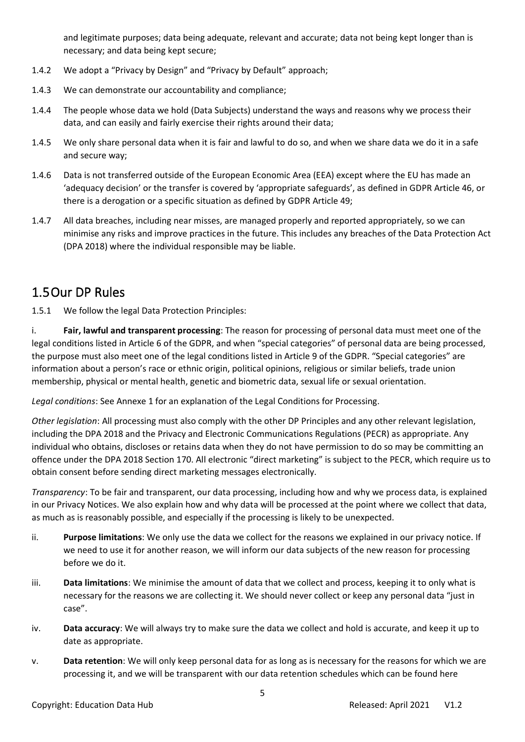and legitimate purposes; data being adequate, relevant and accurate; data not being kept longer than is necessary; and data being kept secure;

- 1.4.2 We adopt a "Privacy by Design" and "Privacy by Default" approach;
- 1.4.3 We can demonstrate our accountability and compliance;
- 1.4.4 The people whose data we hold (Data Subjects) understand the ways and reasons why we process their data, and can easily and fairly exercise their rights around their data;
- 1.4.5 We only share personal data when it is fair and lawful to do so, and when we share data we do it in a safe and secure way;
- 1.4.6 Data is not transferred outside of the European Economic Area (EEA) except where the EU has made an 'adequacy decision' or the transfer is covered by 'appropriate safeguards', as defined in GDPR Article 46, or there is a derogation or a specific situation as defined by GDPR Article 49;
- 1.4.7 All data breaches, including near misses, are managed properly and reported appropriately, so we can minimise any risks and improve practices in the future. This includes any breaches of the Data Protection Act (DPA 2018) where the individual responsible may be liable.

# <span id="page-4-0"></span>1.5Our DP Rules

1.5.1 We follow the legal Data Protection Principles:

i. **Fair, lawful and transparent processing**: The reason for processing of personal data must meet one of the legal conditions listed in Article 6 of the GDPR, and when "special categories" of personal data are being processed, the purpose must also meet one of the legal conditions listed in Article 9 of the GDPR. "Special categories" are information about a person's race or ethnic origin, political opinions, religious or similar beliefs, trade union membership, physical or mental health, genetic and biometric data, sexual life or sexual orientation.

*Legal conditions*: See Annexe 1 for an explanation of the Legal Conditions for Processing.

*Other legislation*: All processing must also comply with the other DP Principles and any other relevant legislation, including the DPA 2018 and the Privacy and Electronic Communications Regulations (PECR) as appropriate. Any individual who obtains, discloses or retains data when they do not have permission to do so may be committing an offence under the DPA 2018 Section 170. All electronic "direct marketing" is subject to the PECR, which require us to obtain consent before sending direct marketing messages electronically.

*Transparency*: To be fair and transparent, our data processing, including how and why we process data, is explained in our Privacy Notices. We also explain how and why data will be processed at the point where we collect that data, as much as is reasonably possible, and especially if the processing is likely to be unexpected.

- ii. **Purpose limitations**: We only use the data we collect for the reasons we explained in our privacy notice. If we need to use it for another reason, we will inform our data subjects of the new reason for processing before we do it.
- iii. **Data limitations**: We minimise the amount of data that we collect and process, keeping it to only what is necessary for the reasons we are collecting it. We should never collect or keep any personal data "just in case".
- iv. **Data accuracy**: We will always try to make sure the data we collect and hold is accurate, and keep it up to date as appropriate.
- v. **Data retention**: We will only keep personal data for as long as is necessary for the reasons for which we are processing it, and we will be transparent with our data retention schedules which can be found here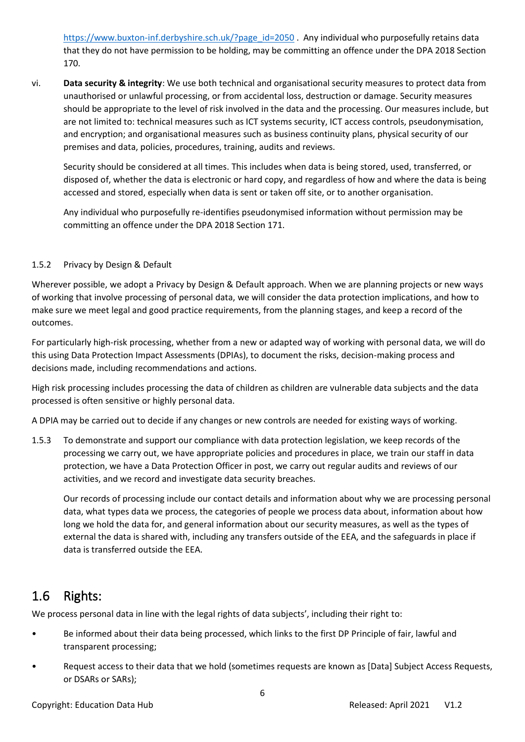[https://www.buxton-inf.derbyshire.sch.uk/?page\\_id=2050](https://www.buxton-inf.derbyshire.sch.uk/?page_id=2050) . Any individual who purposefully retains data that they do not have permission to be holding, may be committing an offence under the DPA 2018 Section 170.

vi. **Data security & integrity**: We use both technical and organisational security measures to protect data from unauthorised or unlawful processing, or from accidental loss, destruction or damage. Security measures should be appropriate to the level of risk involved in the data and the processing. Our measures include, but are not limited to: technical measures such as ICT systems security, ICT access controls, pseudonymisation, and encryption; and organisational measures such as business continuity plans, physical security of our premises and data, policies, procedures, training, audits and reviews.

Security should be considered at all times. This includes when data is being stored, used, transferred, or disposed of, whether the data is electronic or hard copy, and regardless of how and where the data is being accessed and stored, especially when data is sent or taken off site, or to another organisation.

Any individual who purposefully re-identifies pseudonymised information without permission may be committing an offence under the DPA 2018 Section 171.

#### 1.5.2 Privacy by Design & Default

Wherever possible, we adopt a Privacy by Design & Default approach. When we are planning projects or new ways of working that involve processing of personal data, we will consider the data protection implications, and how to make sure we meet legal and good practice requirements, from the planning stages, and keep a record of the outcomes.

For particularly high-risk processing, whether from a new or adapted way of working with personal data, we will do this using Data Protection Impact Assessments (DPIAs), to document the risks, decision-making process and decisions made, including recommendations and actions.

High risk processing includes processing the data of children as children are vulnerable data subjects and the data processed is often sensitive or highly personal data.

A DPIA may be carried out to decide if any changes or new controls are needed for existing ways of working.

1.5.3 To demonstrate and support our compliance with data protection legislation, we keep records of the processing we carry out, we have appropriate policies and procedures in place, we train our staff in data protection, we have a Data Protection Officer in post, we carry out regular audits and reviews of our activities, and we record and investigate data security breaches.

Our records of processing include our contact details and information about why we are processing personal data, what types data we process, the categories of people we process data about, information about how long we hold the data for, and general information about our security measures, as well as the types of external the data is shared with, including any transfers outside of the EEA, and the safeguards in place if data is transferred outside the EEA.

# <span id="page-5-0"></span>1.6 Rights:

We process personal data in line with the legal rights of data subjects', including their right to:

- Be informed about their data being processed, which links to the first DP Principle of fair, lawful and transparent processing;
- Request access to their data that we hold (sometimes requests are known as [Data] Subject Access Requests, or DSARs or SARs);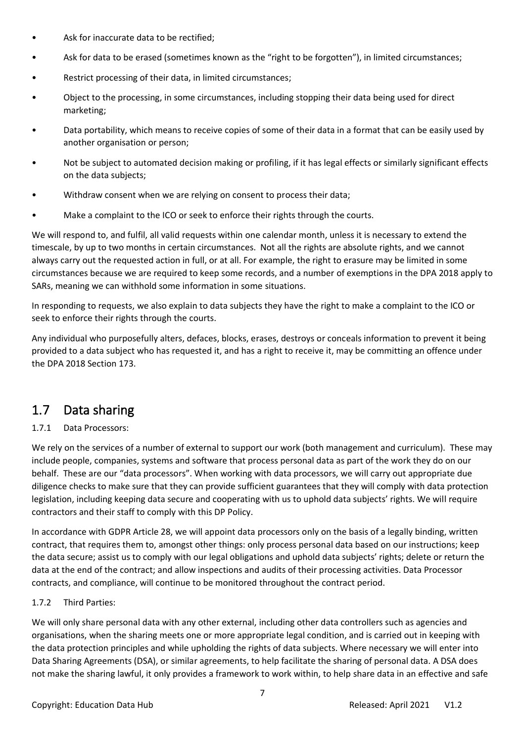- Ask for inaccurate data to be rectified;
- Ask for data to be erased (sometimes known as the "right to be forgotten"), in limited circumstances;
- Restrict processing of their data, in limited circumstances;
- Object to the processing, in some circumstances, including stopping their data being used for direct marketing;
- Data portability, which means to receive copies of some of their data in a format that can be easily used by another organisation or person;
- Not be subject to automated decision making or profiling, if it has legal effects or similarly significant effects on the data subjects;
- Withdraw consent when we are relying on consent to process their data;
- Make a complaint to the ICO or seek to enforce their rights through the courts.

We will respond to, and fulfil, all valid requests within one calendar month, unless it is necessary to extend the timescale, by up to two months in certain circumstances. Not all the rights are absolute rights, and we cannot always carry out the requested action in full, or at all. For example, the right to erasure may be limited in some circumstances because we are required to keep some records, and a number of exemptions in the DPA 2018 apply to SARs, meaning we can withhold some information in some situations.

In responding to requests, we also explain to data subjects they have the right to make a complaint to the ICO or seek to enforce their rights through the courts.

Any individual who purposefully alters, defaces, blocks, erases, destroys or conceals information to prevent it being provided to a data subject who has requested it, and has a right to receive it, may be committing an offence under the DPA 2018 Section 173.

# <span id="page-6-0"></span>1.7 Data sharing

#### 1.7.1 Data Processors:

We rely on the services of a number of external to support our work (both management and curriculum). These may include people, companies, systems and software that process personal data as part of the work they do on our behalf. These are our "data processors". When working with data processors, we will carry out appropriate due diligence checks to make sure that they can provide sufficient guarantees that they will comply with data protection legislation, including keeping data secure and cooperating with us to uphold data subjects' rights. We will require contractors and their staff to comply with this DP Policy.

In accordance with GDPR Article 28, we will appoint data processors only on the basis of a legally binding, written contract, that requires them to, amongst other things: only process personal data based on our instructions; keep the data secure; assist us to comply with our legal obligations and uphold data subjects' rights; delete or return the data at the end of the contract; and allow inspections and audits of their processing activities. Data Processor contracts, and compliance, will continue to be monitored throughout the contract period.

#### 1.7.2 Third Parties:

We will only share personal data with any other external, including other data controllers such as agencies and organisations, when the sharing meets one or more appropriate legal condition, and is carried out in keeping with the data protection principles and while upholding the rights of data subjects. Where necessary we will enter into Data Sharing Agreements (DSA), or similar agreements, to help facilitate the sharing of personal data. A DSA does not make the sharing lawful, it only provides a framework to work within, to help share data in an effective and safe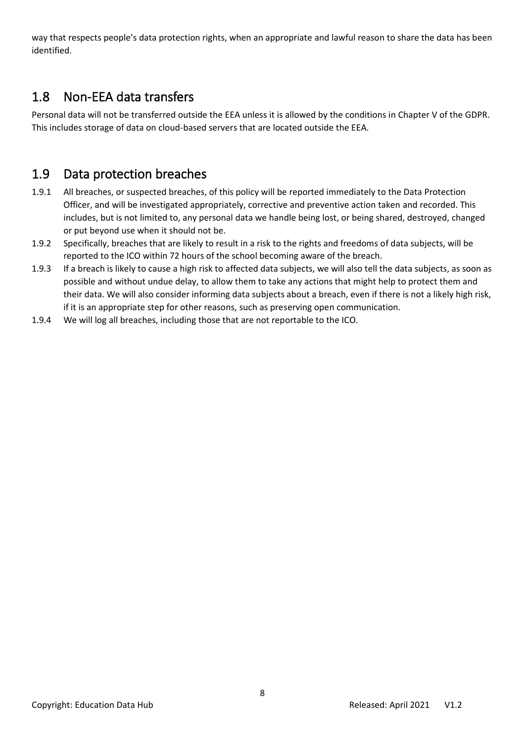way that respects people's data protection rights, when an appropriate and lawful reason to share the data has been identified.

# <span id="page-7-0"></span>1.8 Non-EEA data transfers

Personal data will not be transferred outside the EEA unless it is allowed by the conditions in Chapter V of the GDPR. This includes storage of data on cloud-based servers that are located outside the EEA.

# <span id="page-7-1"></span>1.9 Data protection breaches

- 1.9.1 All breaches, or suspected breaches, of this policy will be reported immediately to the Data Protection Officer, and will be investigated appropriately, corrective and preventive action taken and recorded. This includes, but is not limited to, any personal data we handle being lost, or being shared, destroyed, changed or put beyond use when it should not be.
- 1.9.2 Specifically, breaches that are likely to result in a risk to the rights and freedoms of data subjects, will be reported to the ICO within 72 hours of the school becoming aware of the breach.
- 1.9.3 If a breach is likely to cause a high risk to affected data subjects, we will also tell the data subjects, as soon as possible and without undue delay, to allow them to take any actions that might help to protect them and their data. We will also consider informing data subjects about a breach, even if there is not a likely high risk, if it is an appropriate step for other reasons, such as preserving open communication.
- 1.9.4 We will log all breaches, including those that are not reportable to the ICO.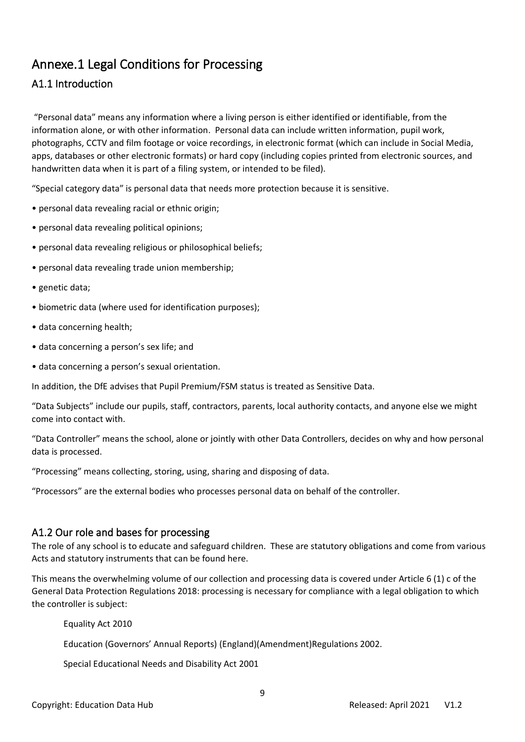# <span id="page-8-0"></span>Annexe.1 Legal Conditions for Processing

# <span id="page-8-1"></span>A1.1 Introduction

"Personal data" means any information where a living person is either identified or identifiable, from the information alone, or with other information. Personal data can include written information, pupil work, photographs, CCTV and film footage or voice recordings, in electronic format (which can include in Social Media, apps, databases or other electronic formats) or hard copy (including copies printed from electronic sources, and handwritten data when it is part of a filing system, or intended to be filed).

"Special category data" is personal data that needs more protection because it is sensitive.

- personal data revealing racial or ethnic origin;
- personal data revealing political opinions;
- personal data revealing religious or philosophical beliefs;
- personal data revealing trade union membership;
- genetic data;
- biometric data (where used for identification purposes);
- data concerning health;
- data concerning a person's sex life; and
- data concerning a person's sexual orientation.

In addition, the DfE advises that Pupil Premium/FSM status is treated as Sensitive Data.

"Data Subjects" include our pupils, staff, contractors, parents, local authority contacts, and anyone else we might come into contact with.

"Data Controller" means the school, alone or jointly with other Data Controllers, decides on why and how personal data is processed.

"Processing" means collecting, storing, using, sharing and disposing of data.

"Processors" are the external bodies who processes personal data on behalf of the controller.

### <span id="page-8-2"></span>A1.2 Our role and bases for processing

The role of any school is to educate and safeguard children. These are statutory obligations and come from various Acts and statutory instruments that can be found here.

This means the overwhelming volume of our collection and processing data is covered under Article 6 (1) c of the General Data Protection Regulations 2018: processing is necessary for compliance with a legal obligation to which the controller is subject:

Equality Act 2010

Education (Governors' Annual Reports) (England)(Amendment)Regulations 2002.

Special Educational Needs and Disability Act 2001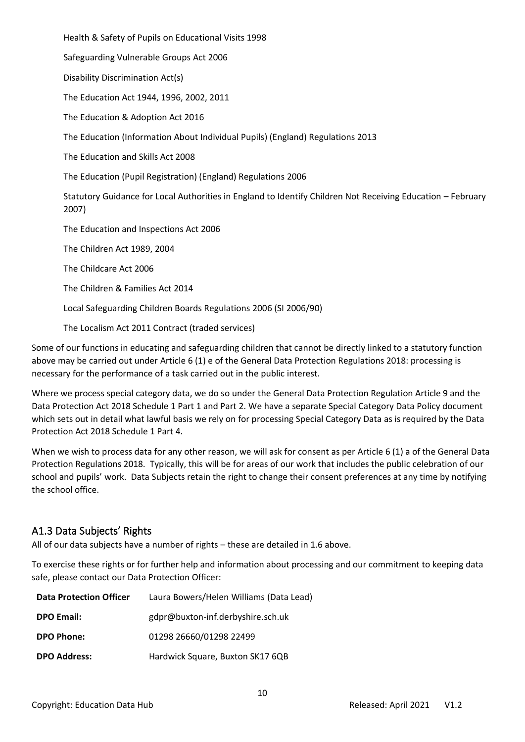Health & Safety of Pupils on Educational Visits 1998

Safeguarding Vulnerable Groups Act 2006

Disability Discrimination Act(s)

The Education Act 1944, 1996, 2002, 2011

The Education & Adoption Act 2016

The Education (Information About Individual Pupils) (England) Regulations 2013

The Education and Skills Act 2008

The Education (Pupil Registration) (England) Regulations 2006

Statutory Guidance for Local Authorities in England to Identify Children Not Receiving Education – February 2007)

The Education and Inspections Act 2006

The Children Act 1989, 2004

The Childcare Act 2006

The Children & Families Act 2014

Local Safeguarding Children Boards Regulations 2006 (SI 2006/90)

The Localism Act 2011 Contract (traded services)

Some of our functions in educating and safeguarding children that cannot be directly linked to a statutory function above may be carried out under Article 6 (1) e of the General Data Protection Regulations 2018: processing is necessary for the performance of a task carried out in the public interest.

Where we process special category data, we do so under the General Data Protection Regulation Article 9 and the Data Protection Act 2018 Schedule 1 Part 1 and Part 2. We have a separate Special Category Data Policy document which sets out in detail what lawful basis we rely on for processing Special Category Data as is required by the Data Protection Act 2018 Schedule 1 Part 4.

When we wish to process data for any other reason, we will ask for consent as per Article 6 (1) a of the General Data Protection Regulations 2018. Typically, this will be for areas of our work that includes the public celebration of our school and pupils' work. Data Subjects retain the right to change their consent preferences at any time by notifying the school office.

# <span id="page-9-0"></span>A1.3 Data Subjects' Rights

All of our data subjects have a number of rights – these are detailed in [1.6](#page-5-0) above.

To exercise these rights or for further help and information about processing and our commitment to keeping data safe, please contact our Data Protection Officer:

| <b>Data Protection Officer</b> | Laura Bowers/Helen Williams (Data Lead) |
|--------------------------------|-----------------------------------------|
| <b>DPO Email:</b>              | gdpr@buxton-inf.derbyshire.sch.uk       |
| <b>DPO Phone:</b>              | 01298 26660/01298 22499                 |
| <b>DPO Address:</b>            | Hardwick Square, Buxton SK17 6QB        |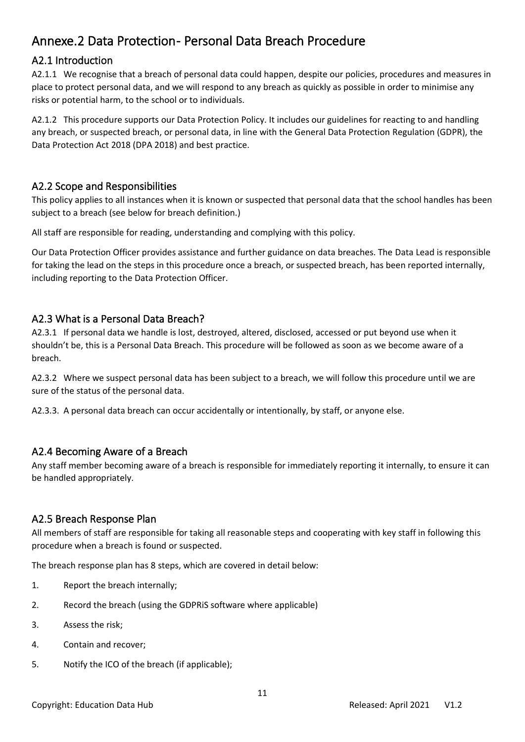# <span id="page-10-0"></span>Annexe.2 Data Protection - Personal Data Breach Procedure

# <span id="page-10-1"></span>A2.1 Introduction

A2.1.1 We recognise that a breach of personal data could happen, despite our policies, procedures and measures in place to protect personal data, and we will respond to any breach as quickly as possible in order to minimise any risks or potential harm, to the school or to individuals.

A2.1.2 This procedure supports our Data Protection Policy. It includes our guidelines for reacting to and handling any breach, or suspected breach, or personal data, in line with the General Data Protection Regulation (GDPR), the Data Protection Act 2018 (DPA 2018) and best practice.

### <span id="page-10-2"></span>A2.2 Scope and Responsibilities

This policy applies to all instances when it is known or suspected that personal data that the school handles has been subject to a breach (see below for breach definition.)

All staff are responsible for reading, understanding and complying with this policy.

Our Data Protection Officer provides assistance and further guidance on data breaches. The Data Lead is responsible for taking the lead on the steps in this procedure once a breach, or suspected breach, has been reported internally, including reporting to the Data Protection Officer.

# <span id="page-10-3"></span>A2.3 What is a Personal Data Breach?

A2.3.1 If personal data we handle is lost, destroyed, altered, disclosed, accessed or put beyond use when it shouldn't be, this is a Personal Data Breach. This procedure will be followed as soon as we become aware of a breach.

A2.3.2 Where we suspect personal data has been subject to a breach, we will follow this procedure until we are sure of the status of the personal data.

A2.3.3. A personal data breach can occur accidentally or intentionally, by staff, or anyone else.

# <span id="page-10-4"></span>A2.4 Becoming Aware of a Breach

Any staff member becoming aware of a breach is responsible for immediately reporting it internally, to ensure it can be handled appropriately.

# <span id="page-10-5"></span>A2.5 Breach Response Plan

All members of staff are responsible for taking all reasonable steps and cooperating with key staff in following this procedure when a breach is found or suspected.

The breach response plan has 8 steps, which are covered in detail below:

- 1. Report the breach internally;
- 2. Record the breach (using the GDPRiS software where applicable)
- 3. Assess the risk;
- 4. Contain and recover;
- 5. Notify the ICO of the breach (if applicable);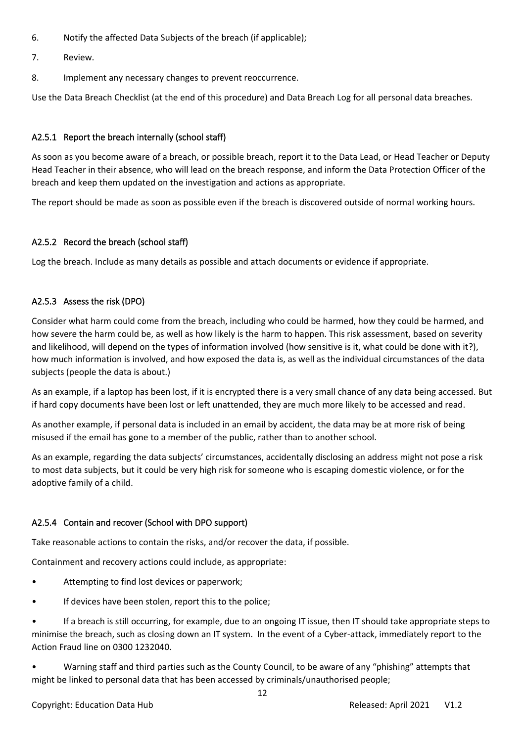- 6. Notify the affected Data Subjects of the breach (if applicable);
- 7. Review.
- 8. Implement any necessary changes to prevent reoccurrence.

Use the Data Breach Checklist (at the end of this procedure) and Data Breach Log for all personal data breaches.

#### A2.5.1 Report the breach internally (school staff)

As soon as you become aware of a breach, or possible breach, report it to the Data Lead, or Head Teacher or Deputy Head Teacher in their absence, who will lead on the breach response, and inform the Data Protection Officer of the breach and keep them updated on the investigation and actions as appropriate.

The report should be made as soon as possible even if the breach is discovered outside of normal working hours.

#### A2.5.2 Record the breach (school staff)

Log the breach. Include as many details as possible and attach documents or evidence if appropriate.

#### A2.5.3 Assess the risk (DPO)

Consider what harm could come from the breach, including who could be harmed, how they could be harmed, and how severe the harm could be, as well as how likely is the harm to happen. This risk assessment, based on severity and likelihood, will depend on the types of information involved (how sensitive is it, what could be done with it?), how much information is involved, and how exposed the data is, as well as the individual circumstances of the data subjects (people the data is about.)

As an example, if a laptop has been lost, if it is encrypted there is a very small chance of any data being accessed. But if hard copy documents have been lost or left unattended, they are much more likely to be accessed and read.

As another example, if personal data is included in an email by accident, the data may be at more risk of being misused if the email has gone to a member of the public, rather than to another school.

As an example, regarding the data subjects' circumstances, accidentally disclosing an address might not pose a risk to most data subjects, but it could be very high risk for someone who is escaping domestic violence, or for the adoptive family of a child.

#### A2.5.4 Contain and recover (School with DPO support)

Take reasonable actions to contain the risks, and/or recover the data, if possible.

Containment and recovery actions could include, as appropriate:

- Attempting to find lost devices or paperwork;
- If devices have been stolen, report this to the police;

• If a breach is still occurring, for example, due to an ongoing IT issue, then IT should take appropriate steps to minimise the breach, such as closing down an IT system. In the event of a Cyber-attack, immediately report to the Action Fraud line on 0300 1232040.

• Warning staff and third parties such as the County Council, to be aware of any "phishing" attempts that might be linked to personal data that has been accessed by criminals/unauthorised people;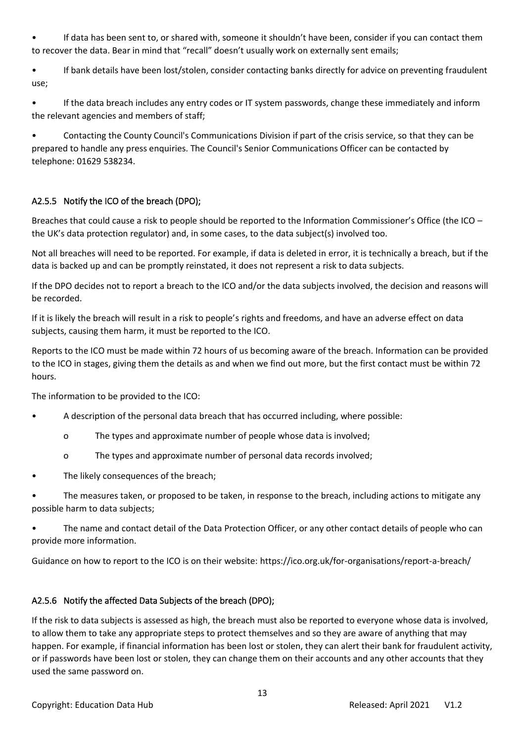• If data has been sent to, or shared with, someone it shouldn't have been, consider if you can contact them to recover the data. Bear in mind that "recall" doesn't usually work on externally sent emails;

• If bank details have been lost/stolen, consider contacting banks directly for advice on preventing fraudulent use;

• If the data breach includes any entry codes or IT system passwords, change these immediately and inform the relevant agencies and members of staff;

• Contacting the County Council's Communications Division if part of the crisis service, so that they can be prepared to handle any press enquiries. The Council's Senior Communications Officer can be contacted by telephone: 01629 538234.

### A2.5.5 Notify the ICO of the breach (DPO);

Breaches that could cause a risk to people should be reported to the Information Commissioner's Office (the ICO – the UK's data protection regulator) and, in some cases, to the data subject(s) involved too.

Not all breaches will need to be reported. For example, if data is deleted in error, it is technically a breach, but if the data is backed up and can be promptly reinstated, it does not represent a risk to data subjects.

If the DPO decides not to report a breach to the ICO and/or the data subjects involved, the decision and reasons will be recorded.

If it is likely the breach will result in a risk to people's rights and freedoms, and have an adverse effect on data subjects, causing them harm, it must be reported to the ICO.

Reports to the ICO must be made within 72 hours of us becoming aware of the breach. Information can be provided to the ICO in stages, giving them the details as and when we find out more, but the first contact must be within 72 hours.

The information to be provided to the ICO:

- A description of the personal data breach that has occurred including, where possible:
	- o The types and approximate number of people whose data is involved;
	- o The types and approximate number of personal data records involved;
- The likely consequences of the breach;
- The measures taken, or proposed to be taken, in response to the breach, including actions to mitigate any possible harm to data subjects;
- The name and contact detail of the Data Protection Officer, or any other contact details of people who can provide more information.

Guidance on how to report to the ICO is on their website: https://ico.org.uk/for-organisations/report-a-breach/

### A2.5.6 Notify the affected Data Subjects of the breach (DPO);

If the risk to data subjects is assessed as high, the breach must also be reported to everyone whose data is involved, to allow them to take any appropriate steps to protect themselves and so they are aware of anything that may happen. For example, if financial information has been lost or stolen, they can alert their bank for fraudulent activity, or if passwords have been lost or stolen, they can change them on their accounts and any other accounts that they used the same password on.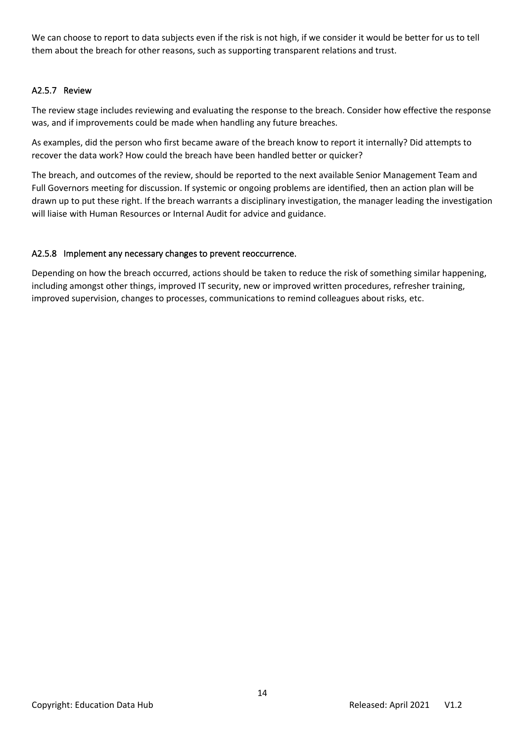We can choose to report to data subjects even if the risk is not high, if we consider it would be better for us to tell them about the breach for other reasons, such as supporting transparent relations and trust.

#### A2.5.7 Review

The review stage includes reviewing and evaluating the response to the breach. Consider how effective the response was, and if improvements could be made when handling any future breaches.

As examples, did the person who first became aware of the breach know to report it internally? Did attempts to recover the data work? How could the breach have been handled better or quicker?

The breach, and outcomes of the review, should be reported to the next available Senior Management Team and Full Governors meeting for discussion. If systemic or ongoing problems are identified, then an action plan will be drawn up to put these right. If the breach warrants a disciplinary investigation, the manager leading the investigation will liaise with Human Resources or Internal Audit for advice and guidance.

#### A2.5.8 Implement any necessary changes to prevent reoccurrence.

Depending on how the breach occurred, actions should be taken to reduce the risk of something similar happening, including amongst other things, improved IT security, new or improved written procedures, refresher training, improved supervision, changes to processes, communications to remind colleagues about risks, etc.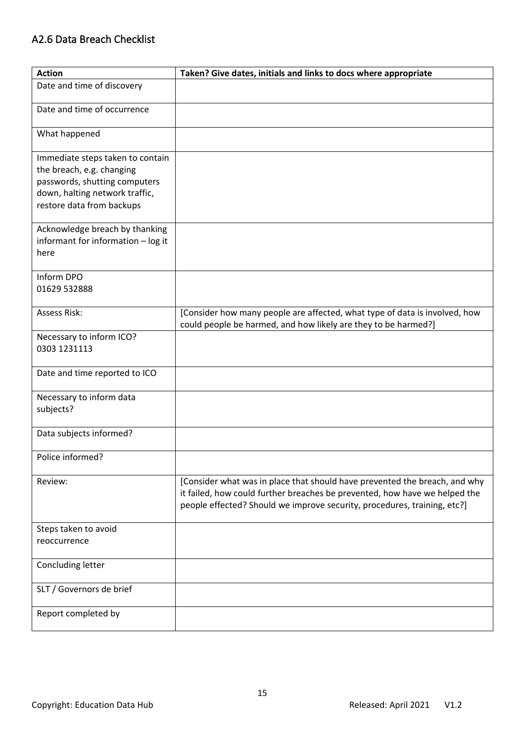# <span id="page-14-0"></span>A2.6 Data Breach Checklist

| <b>Action</b>                                                                                                                                                 | Taken? Give dates, initials and links to docs where appropriate                                                                                                                                                                      |
|---------------------------------------------------------------------------------------------------------------------------------------------------------------|--------------------------------------------------------------------------------------------------------------------------------------------------------------------------------------------------------------------------------------|
| Date and time of discovery                                                                                                                                    |                                                                                                                                                                                                                                      |
| Date and time of occurrence                                                                                                                                   |                                                                                                                                                                                                                                      |
| What happened                                                                                                                                                 |                                                                                                                                                                                                                                      |
| Immediate steps taken to contain<br>the breach, e.g. changing<br>passwords, shutting computers<br>down, halting network traffic,<br>restore data from backups |                                                                                                                                                                                                                                      |
| Acknowledge breach by thanking<br>informant for information - log it<br>here                                                                                  |                                                                                                                                                                                                                                      |
| Inform DPO<br>01629 532888                                                                                                                                    |                                                                                                                                                                                                                                      |
| <b>Assess Risk:</b>                                                                                                                                           | [Consider how many people are affected, what type of data is involved, how<br>could people be harmed, and how likely are they to be harmed?]                                                                                         |
| Necessary to inform ICO?<br>0303 1231113                                                                                                                      |                                                                                                                                                                                                                                      |
| Date and time reported to ICO                                                                                                                                 |                                                                                                                                                                                                                                      |
| Necessary to inform data<br>subjects?                                                                                                                         |                                                                                                                                                                                                                                      |
| Data subjects informed?                                                                                                                                       |                                                                                                                                                                                                                                      |
| Police informed?                                                                                                                                              |                                                                                                                                                                                                                                      |
| Review:                                                                                                                                                       | [Consider what was in place that should have prevented the breach, and why<br>it failed, how could further breaches be prevented, how have we helped the<br>people effected? Should we improve security, procedures, training, etc?] |
| Steps taken to avoid                                                                                                                                          |                                                                                                                                                                                                                                      |
| reoccurrence                                                                                                                                                  |                                                                                                                                                                                                                                      |
| Concluding letter                                                                                                                                             |                                                                                                                                                                                                                                      |
| SLT / Governors de brief                                                                                                                                      |                                                                                                                                                                                                                                      |
| Report completed by                                                                                                                                           |                                                                                                                                                                                                                                      |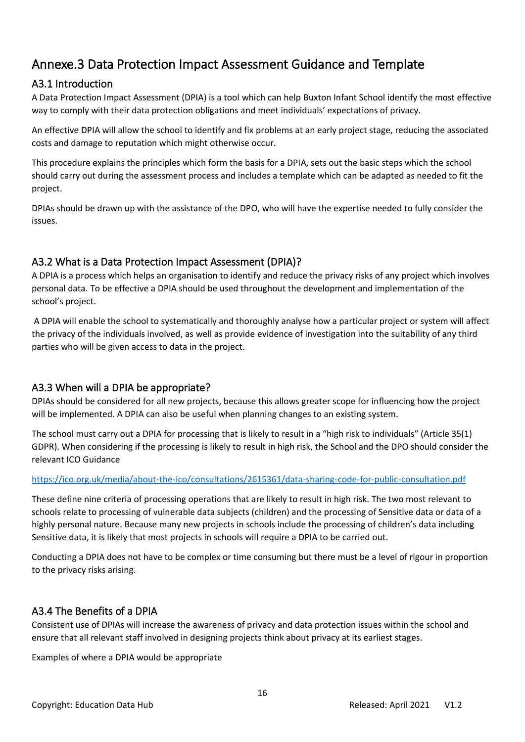# <span id="page-15-0"></span>Annexe.3 Data Protection Impact Assessment Guidance and Template

# <span id="page-15-1"></span>A3.1 Introduction

A Data Protection Impact Assessment (DPIA) is a tool which can help Buxton Infant School identify the most effective way to comply with their data protection obligations and meet individuals' expectations of privacy.

An effective DPIA will allow the school to identify and fix problems at an early project stage, reducing the associated costs and damage to reputation which might otherwise occur.

This procedure explains the principles which form the basis for a DPIA, sets out the basic steps which the school should carry out during the assessment process and includes a template which can be adapted as needed to fit the project.

DPIAs should be drawn up with the assistance of the DPO, who will have the expertise needed to fully consider the issues.

# <span id="page-15-2"></span>A3.2 What is a Data Protection Impact Assessment (DPIA)?

A DPIA is a process which helps an organisation to identify and reduce the privacy risks of any project which involves personal data. To be effective a DPIA should be used throughout the development and implementation of the school's project.

A DPIA will enable the school to systematically and thoroughly analyse how a particular project or system will affect the privacy of the individuals involved, as well as provide evidence of investigation into the suitability of any third parties who will be given access to data in the project.

# <span id="page-15-3"></span>A3.3 When will a DPIA be appropriate?

DPIAs should be considered for all new projects, because this allows greater scope for influencing how the project will be implemented. A DPIA can also be useful when planning changes to an existing system.

The school must carry out a DPIA for processing that is likely to result in a "high risk to individuals" (Article 35(1) GDPR). When considering if the processing is likely to result in high risk, the School and the DPO should consider the relevant ICO Guidance

### <https://ico.org.uk/media/about-the-ico/consultations/2615361/data-sharing-code-for-public-consultation.pdf>

These define nine criteria of processing operations that are likely to result in high risk. The two most relevant to schools relate to processing of vulnerable data subjects (children) and the processing of Sensitive data or data of a highly personal nature. Because many new projects in schools include the processing of children's data including Sensitive data, it is likely that most projects in schools will require a DPIA to be carried out.

Conducting a DPIA does not have to be complex or time consuming but there must be a level of rigour in proportion to the privacy risks arising.

# <span id="page-15-4"></span>A3.4 The Benefits of a DPIA

Consistent use of DPIAs will increase the awareness of privacy and data protection issues within the school and ensure that all relevant staff involved in designing projects think about privacy at its earliest stages.

Examples of where a DPIA would be appropriate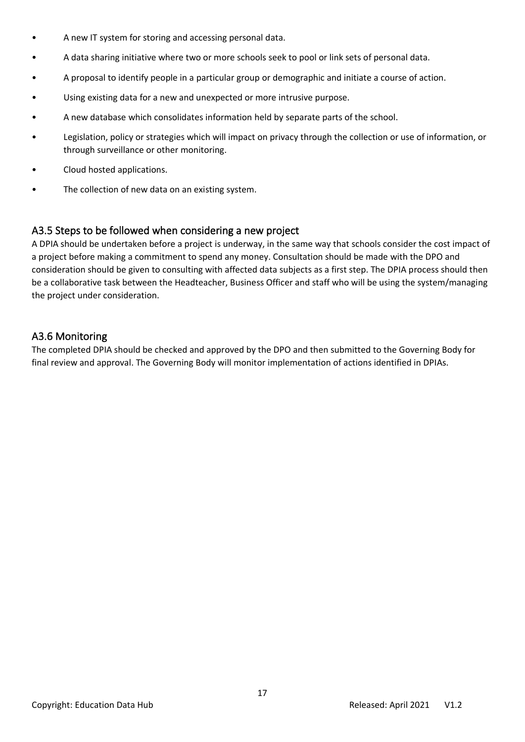- A new IT system for storing and accessing personal data.
- A data sharing initiative where two or more schools seek to pool or link sets of personal data.
- A proposal to identify people in a particular group or demographic and initiate a course of action.
- Using existing data for a new and unexpected or more intrusive purpose.
- A new database which consolidates information held by separate parts of the school.
- Legislation, policy or strategies which will impact on privacy through the collection or use of information, or through surveillance or other monitoring.
- Cloud hosted applications.
- The collection of new data on an existing system.

### <span id="page-16-0"></span>A3.5 Steps to be followed when considering a new project

A DPIA should be undertaken before a project is underway, in the same way that schools consider the cost impact of a project before making a commitment to spend any money. Consultation should be made with the DPO and consideration should be given to consulting with affected data subjects as a first step. The DPIA process should then be a collaborative task between the Headteacher, Business Officer and staff who will be using the system/managing the project under consideration.

### <span id="page-16-1"></span>A3.6 Monitoring

The completed DPIA should be checked and approved by the DPO and then submitted to the Governing Body for final review and approval. The Governing Body will monitor implementation of actions identified in DPIAs.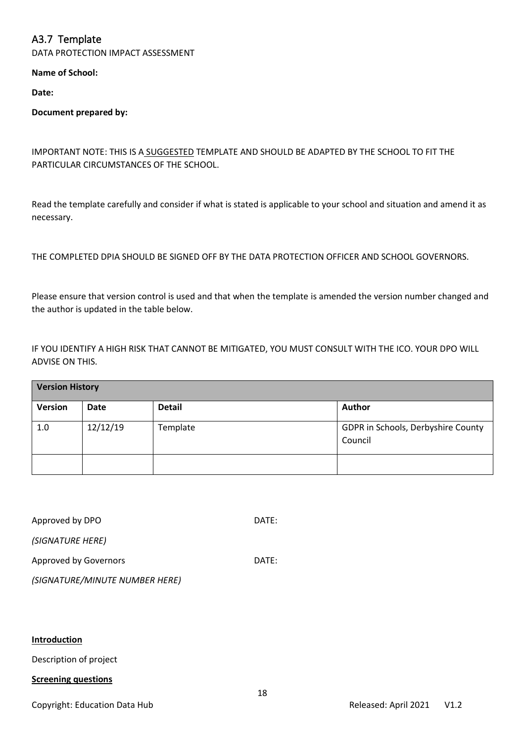# <span id="page-17-0"></span>A3.7 Template

DATA PROTECTION IMPACT ASSESSMENT

**Name of School:** 

**Date:**

#### **Document prepared by:**

#### IMPORTANT NOTE: THIS IS A SUGGESTED TEMPLATE AND SHOULD BE ADAPTED BY THE SCHOOL TO FIT THE PARTICULAR CIRCUMSTANCES OF THE SCHOOL.

Read the template carefully and consider if what is stated is applicable to your school and situation and amend it as necessary.

#### THE COMPLETED DPIA SHOULD BE SIGNED OFF BY THE DATA PROTECTION OFFICER AND SCHOOL GOVERNORS.

Please ensure that version control is used and that when the template is amended the version number changed and the author is updated in the table below.

IF YOU IDENTIFY A HIGH RISK THAT CANNOT BE MITIGATED, YOU MUST CONSULT WITH THE ICO. YOUR DPO WILL ADVISE ON THIS.

| <b>Version History</b> |             |               |                                               |
|------------------------|-------------|---------------|-----------------------------------------------|
| <b>Version</b>         | <b>Date</b> | <b>Detail</b> | Author                                        |
| 1.0                    | 12/12/19    | Template      | GDPR in Schools, Derbyshire County<br>Council |
|                        |             |               |                                               |

| Approved by DPO                | DATE: |
|--------------------------------|-------|
| (SIGNATURE HERE)               |       |
| Approved by Governors          | DATE: |
| (SIGNATURE/MINUTE NUMBER HERE) |       |

#### **Introduction**

Description of project

#### **Screening questions**

Copyright: Education Data Hub **Contract Contract Contract Contract Contract** Released: April 2021 V1.2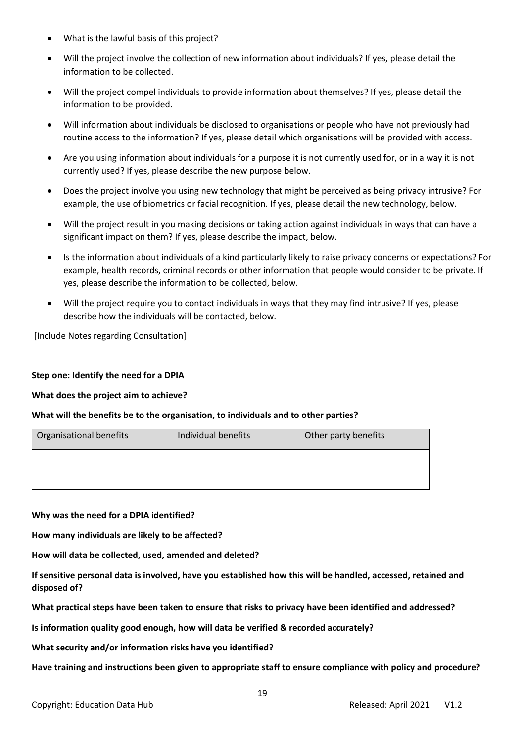- What is the lawful basis of this project?
- Will the project involve the collection of new information about individuals? If yes, please detail the information to be collected.
- Will the project compel individuals to provide information about themselves? If yes, please detail the information to be provided.
- Will information about individuals be disclosed to organisations or people who have not previously had routine access to the information? If yes, please detail which organisations will be provided with access.
- Are you using information about individuals for a purpose it is not currently used for, or in a way it is not currently used? If yes, please describe the new purpose below.
- Does the project involve you using new technology that might be perceived as being privacy intrusive? For example, the use of biometrics or facial recognition. If yes, please detail the new technology, below.
- Will the project result in you making decisions or taking action against individuals in ways that can have a significant impact on them? If yes, please describe the impact, below.
- Is the information about individuals of a kind particularly likely to raise privacy concerns or expectations? For example, health records, criminal records or other information that people would consider to be private. If yes, please describe the information to be collected, below.
- Will the project require you to contact individuals in ways that they may find intrusive? If yes, please describe how the individuals will be contacted, below.

[Include Notes regarding Consultation]

#### **Step one: Identify the need for a DPIA**

#### **What does the project aim to achieve?**

#### **What will the benefits be to the organisation, to individuals and to other parties?**

| Organisational benefits | Individual benefits | Other party benefits |  |
|-------------------------|---------------------|----------------------|--|
|                         |                     |                      |  |
|                         |                     |                      |  |

**Why was the need for a DPIA identified?**

**How many individuals are likely to be affected?**

**How will data be collected, used, amended and deleted?**

**If sensitive personal data is involved, have you established how this will be handled, accessed, retained and disposed of?** 

**What practical steps have been taken to ensure that risks to privacy have been identified and addressed?** 

**Is information quality good enough, how will data be verified & recorded accurately?** 

**What security and/or information risks have you identified?**

**Have training and instructions been given to appropriate staff to ensure compliance with policy and procedure?**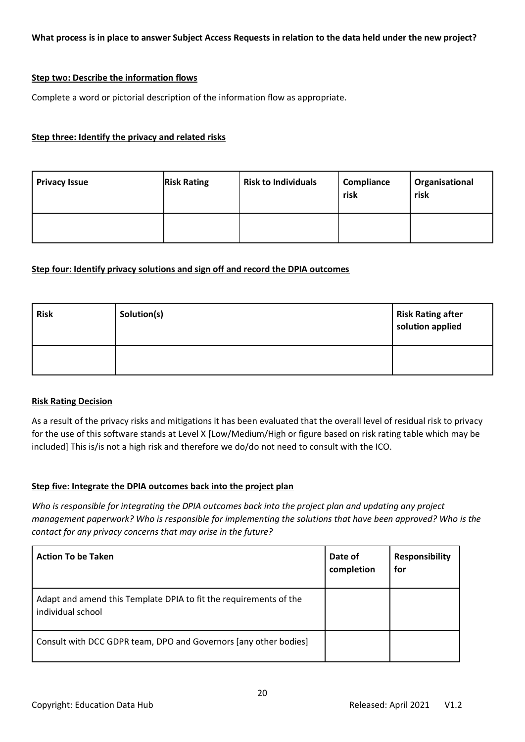#### **Step two: Describe the information flows**

Complete a word or pictorial description of the information flow as appropriate.

#### **Step three: Identify the privacy and related risks**

| <b>Privacy Issue</b> | <b>Risk Rating</b> | <b>Risk to Individuals</b> | Compliance<br>risk | Organisational<br>risk |
|----------------------|--------------------|----------------------------|--------------------|------------------------|
|                      |                    |                            |                    |                        |

#### **Step four: Identify privacy solutions and sign off and record the DPIA outcomes**

| <b>Risk</b> | Solution(s) | <b>Risk Rating after</b><br>solution applied |
|-------------|-------------|----------------------------------------------|
|             |             |                                              |

#### **Risk Rating Decision**

As a result of the privacy risks and mitigations it has been evaluated that the overall level of residual risk to privacy for the use of this software stands at Level X [Low/Medium/High or figure based on risk rating table which may be included] This is/is not a high risk and therefore we do/do not need to consult with the ICO.

#### **Step five: Integrate the DPIA outcomes back into the project plan**

*Who is responsible for integrating the DPIA outcomes back into the project plan and updating any project management paperwork? Who is responsible for implementing the solutions that have been approved? Who is the contact for any privacy concerns that may arise in the future?*

| <b>Action To be Taken</b>                                                              | Date of<br>completion | <b>Responsibility</b><br>for |
|----------------------------------------------------------------------------------------|-----------------------|------------------------------|
| Adapt and amend this Template DPIA to fit the requirements of the<br>individual school |                       |                              |
| Consult with DCC GDPR team, DPO and Governors [any other bodies]                       |                       |                              |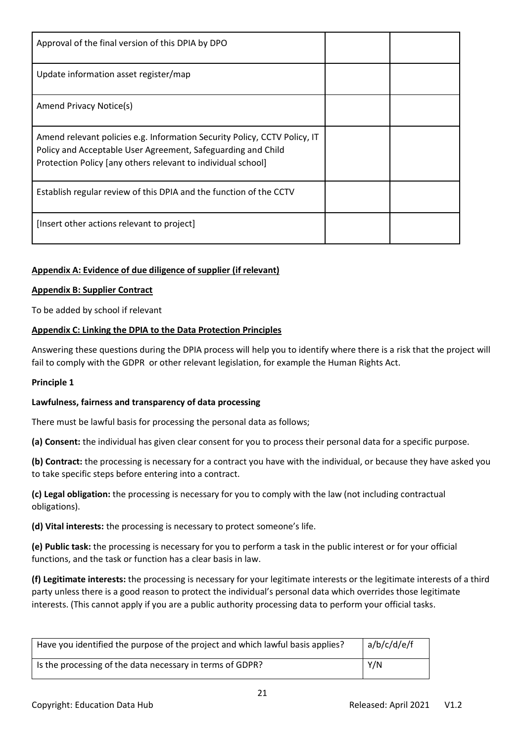| Approval of the final version of this DPIA by DPO                                                                                                                                                         |  |
|-----------------------------------------------------------------------------------------------------------------------------------------------------------------------------------------------------------|--|
| Update information asset register/map                                                                                                                                                                     |  |
| Amend Privacy Notice(s)                                                                                                                                                                                   |  |
| Amend relevant policies e.g. Information Security Policy, CCTV Policy, IT<br>Policy and Acceptable User Agreement, Safeguarding and Child<br>Protection Policy [any others relevant to individual school] |  |
| Establish regular review of this DPIA and the function of the CCTV                                                                                                                                        |  |
| [Insert other actions relevant to project]                                                                                                                                                                |  |

#### **Appendix A: Evidence of due diligence of supplier (if relevant)**

#### **Appendix B: Supplier Contract**

To be added by school if relevant

#### **Appendix C: Linking the DPIA to the Data Protection Principles**

Answering these questions during the DPIA process will help you to identify where there is a risk that the project will fail to comply with the GDPR or other relevant legislation, for example the Human Rights Act.

#### **Principle 1**

#### **Lawfulness, fairness and transparency of data processing**

There must be lawful basis for processing the personal data as follows;

**(a) Consent:** the individual has given clear consent for you to process their personal data for a specific purpose.

**(b) Contract:** the processing is necessary for a contract you have with the individual, or because they have asked you to take specific steps before entering into a contract.

**(c) Legal obligation:** the processing is necessary for you to comply with the law (not including contractual obligations).

**(d) Vital interests:** the processing is necessary to protect someone's life.

**(e) Public task:** the processing is necessary for you to perform a task in the public interest or for your official functions, and the task or function has a clear basis in law.

**(f) Legitimate interests:** the processing is necessary for your legitimate interests or the legitimate interests of a third party unless there is a good reason to protect the individual's personal data which overrides those legitimate interests. (This cannot apply if you are a public authority processing data to perform your official tasks.

| a/b/c/d/e/f<br>Have you identified the purpose of the project and which lawful basis applies? |     |
|-----------------------------------------------------------------------------------------------|-----|
| Is the processing of the data necessary in terms of GDPR?                                     | Y/N |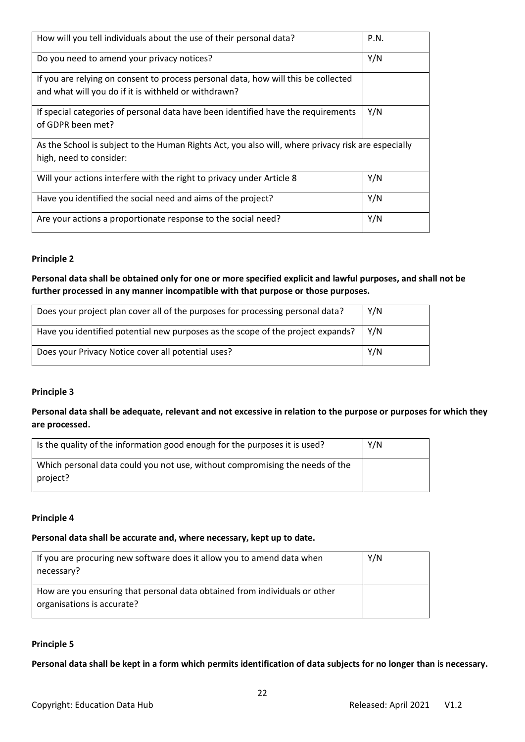| How will you tell individuals about the use of their personal data?                                                                        | P.N. |
|--------------------------------------------------------------------------------------------------------------------------------------------|------|
| Do you need to amend your privacy notices?                                                                                                 | Y/N  |
| If you are relying on consent to process personal data, how will this be collected<br>and what will you do if it is withheld or withdrawn? |      |
| If special categories of personal data have been identified have the requirements<br>of GDPR been met?                                     | Y/N  |
| As the School is subject to the Human Rights Act, you also will, where privacy risk are especially<br>high, need to consider:              |      |
| Will your actions interfere with the right to privacy under Article 8                                                                      | Y/N  |
| Have you identified the social need and aims of the project?                                                                               | Y/N  |
| Are your actions a proportionate response to the social need?                                                                              | Y/N  |

#### **Principle 2**

**Personal data shall be obtained only for one or more specified explicit and lawful purposes, and shall not be**  further processed in any manner incompatible with that purpose or those purposes.

| Does your project plan cover all of the purposes for processing personal data?  | Y/N |
|---------------------------------------------------------------------------------|-----|
| Have you identified potential new purposes as the scope of the project expands? | Y/N |
| Does your Privacy Notice cover all potential uses?                              | Y/N |

#### **Principle 3**

**Personal data shall be adequate, relevant and not excessive in relation to the purpose or purposes for which they are processed.**

| Is the quality of the information good enough for the purposes it is used?               | Y/N |
|------------------------------------------------------------------------------------------|-----|
| Which personal data could you not use, without compromising the needs of the<br>project? |     |

#### **Principle 4**

#### **Personal data shall be accurate and, where necessary, kept up to date.**

| If you are procuring new software does it allow you to amend data when<br>necessary?                     | Y/N |
|----------------------------------------------------------------------------------------------------------|-----|
| How are you ensuring that personal data obtained from individuals or other<br>organisations is accurate? |     |

#### **Principle 5**

**Personal data shall be kept in a form which permits identification of data subjects for no longer than is necessary.**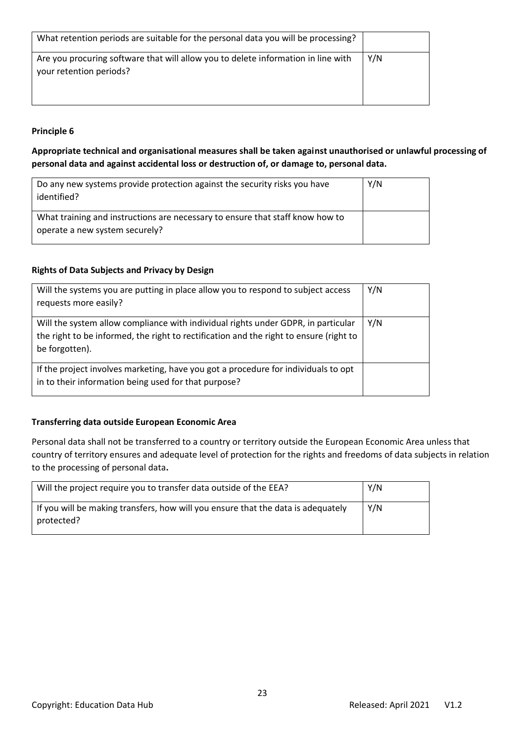| What retention periods are suitable for the personal data you will be processing?                            |     |
|--------------------------------------------------------------------------------------------------------------|-----|
| Are you procuring software that will allow you to delete information in line with<br>your retention periods? | Y/N |

#### **Principle 6**

**Appropriate technical and organisational measures shall be taken against unauthorised or unlawful processing of personal data and against accidental loss or destruction of, or damage to, personal data.**

| Do any new systems provide protection against the security risks you have<br>identified?                        | Y/N |
|-----------------------------------------------------------------------------------------------------------------|-----|
| What training and instructions are necessary to ensure that staff know how to<br>operate a new system securely? |     |

#### **Rights of Data Subjects and Privacy by Design**

| Will the systems you are putting in place allow you to respond to subject access<br>requests more easily?                                                                                     | Y/N |
|-----------------------------------------------------------------------------------------------------------------------------------------------------------------------------------------------|-----|
| Will the system allow compliance with individual rights under GDPR, in particular<br>the right to be informed, the right to rectification and the right to ensure (right to<br>be forgotten). | Y/N |
| If the project involves marketing, have you got a procedure for individuals to opt<br>in to their information being used for that purpose?                                                    |     |

#### **Transferring data outside European Economic Area**

Personal data shall not be transferred to a country or territory outside the European Economic Area unless that country of territory ensures and adequate level of protection for the rights and freedoms of data subjects in relation to the processing of personal data**.**

| Will the project require you to transfer data outside of the EEA?                              | Y/N |
|------------------------------------------------------------------------------------------------|-----|
| If you will be making transfers, how will you ensure that the data is adequately<br>protected? | Y/N |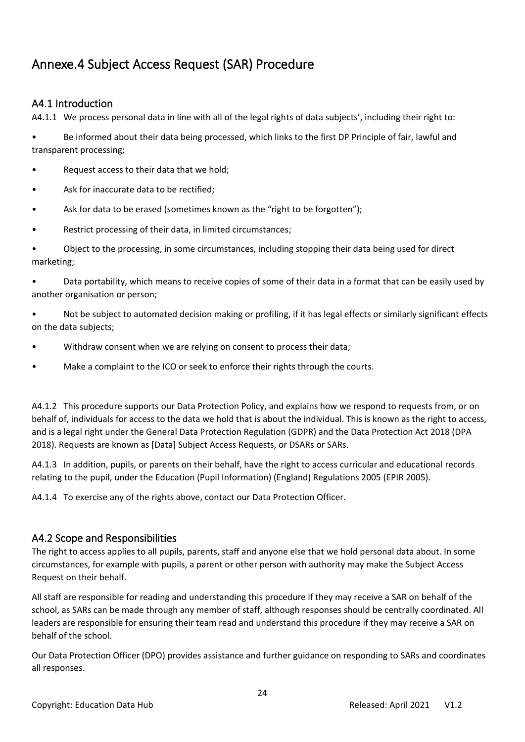# <span id="page-23-0"></span>Annexe.4 Subject Access Request (SAR) Procedure

### <span id="page-23-1"></span>A4.1 Introduction

A4.1.1 We process personal data in line with all of the legal rights of data subjects', including their right to:

• Be informed about their data being processed, which links to the first DP Principle of fair, lawful and transparent processing;

- Request access to their data that we hold;
- Ask for inaccurate data to be rectified;
- Ask for data to be erased (sometimes known as the "right to be forgotten");
- Restrict processing of their data, in limited circumstances;

• Object to the processing, in some circumstances, including stopping their data being used for direct marketing;

• Data portability, which means to receive copies of some of their data in a format that can be easily used by another organisation or person;

• Not be subject to automated decision making or profiling, if it has legal effects or similarly significant effects on the data subjects;

- Withdraw consent when we are relying on consent to process their data;
- Make a complaint to the ICO or seek to enforce their rights through the courts.

A4.1.2 This procedure supports our Data Protection Policy, and explains how we respond to requests from, or on behalf of, individuals for access to the data we hold that is about the individual. This is known as the right to access, and is a legal right under the General Data Protection Regulation (GDPR) and the Data Protection Act 2018 (DPA 2018). Requests are known as [Data] Subject Access Requests, or DSARs or SARs.

A4.1.3 In addition, pupils, or parents on their behalf, have the right to access curricular and educational records relating to the pupil, under the Education (Pupil Information) (England) Regulations 2005 (EPIR 2005).

A4.1.4 To exercise any of the rights above, contact our Data Protection Officer.

#### <span id="page-23-2"></span>A4.2 Scope and Responsibilities

The right to access applies to all pupils, parents, staff and anyone else that we hold personal data about. In some circumstances, for example with pupils, a parent or other person with authority may make the Subject Access Request on their behalf.

All staff are responsible for reading and understanding this procedure if they may receive a SAR on behalf of the school, as SARs can be made through any member of staff, although responses should be centrally coordinated. All leaders are responsible for ensuring their team read and understand this procedure if they may receive a SAR on behalf of the school.

Our Data Protection Officer (DPO) provides assistance and further guidance on responding to SARs and coordinates all responses.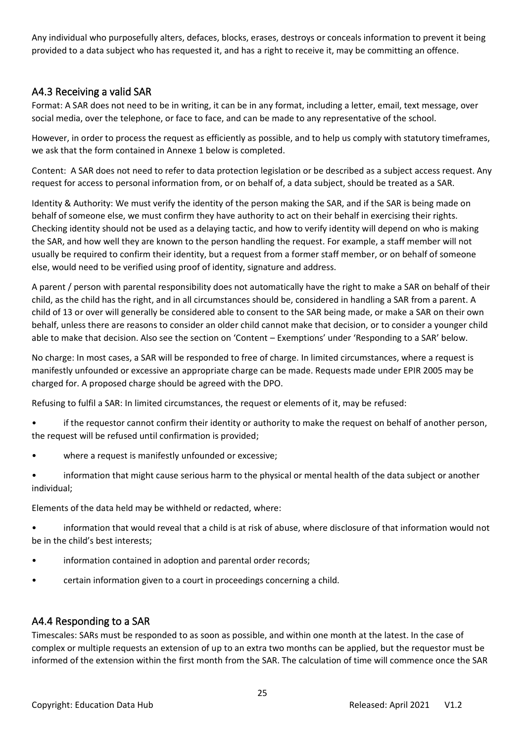Any individual who purposefully alters, defaces, blocks, erases, destroys or conceals information to prevent it being provided to a data subject who has requested it, and has a right to receive it, may be committing an offence.

# <span id="page-24-0"></span>A4.3 Receiving a valid SAR

Format: A SAR does not need to be in writing, it can be in any format, including a letter, email, text message, over social media, over the telephone, or face to face, and can be made to any representative of the school.

However, in order to process the request as efficiently as possible, and to help us comply with statutory timeframes, we ask that the form contained in Annexe 1 below is completed.

Content: A SAR does not need to refer to data protection legislation or be described as a subject access request. Any request for access to personal information from, or on behalf of, a data subject, should be treated as a SAR.

Identity & Authority: We must verify the identity of the person making the SAR, and if the SAR is being made on behalf of someone else, we must confirm they have authority to act on their behalf in exercising their rights. Checking identity should not be used as a delaying tactic, and how to verify identity will depend on who is making the SAR, and how well they are known to the person handling the request. For example, a staff member will not usually be required to confirm their identity, but a request from a former staff member, or on behalf of someone else, would need to be verified using proof of identity, signature and address.

A parent / person with parental responsibility does not automatically have the right to make a SAR on behalf of their child, as the child has the right, and in all circumstances should be, considered in handling a SAR from a parent. A child of 13 or over will generally be considered able to consent to the SAR being made, or make a SAR on their own behalf, unless there are reasons to consider an older child cannot make that decision, or to consider a younger child able to make that decision. Also see the section on 'Content – Exemptions' under 'Responding to a SAR' below.

No charge: In most cases, a SAR will be responded to free of charge. In limited circumstances, where a request is manifestly unfounded or excessive an appropriate charge can be made. Requests made under EPIR 2005 may be charged for. A proposed charge should be agreed with the DPO.

Refusing to fulfil a SAR: In limited circumstances, the request or elements of it, may be refused:

- if the requestor cannot confirm their identity or authority to make the request on behalf of another person, the request will be refused until confirmation is provided;
- where a request is manifestly unfounded or excessive;
- information that might cause serious harm to the physical or mental health of the data subject or another individual;

Elements of the data held may be withheld or redacted, where:

- information that would reveal that a child is at risk of abuse, where disclosure of that information would not be in the child's best interests;
- information contained in adoption and parental order records;
- certain information given to a court in proceedings concerning a child.

### <span id="page-24-1"></span>A4.4 Responding to a SAR

Timescales: SARs must be responded to as soon as possible, and within one month at the latest. In the case of complex or multiple requests an extension of up to an extra two months can be applied, but the requestor must be informed of the extension within the first month from the SAR. The calculation of time will commence once the SAR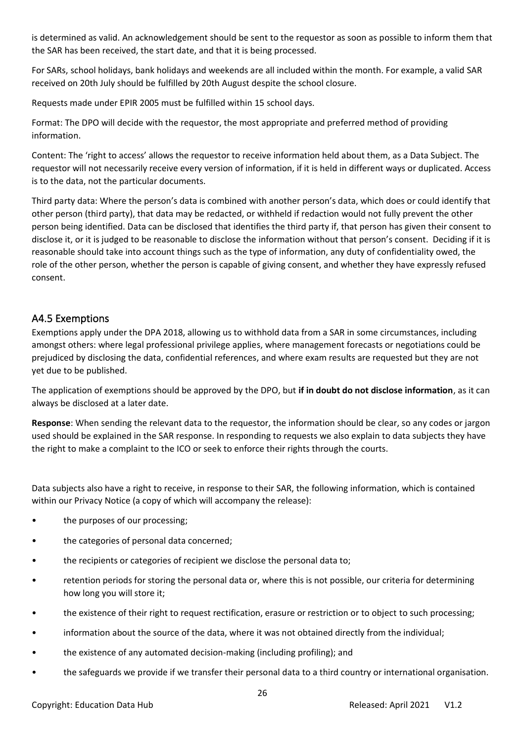is determined as valid. An acknowledgement should be sent to the requestor as soon as possible to inform them that the SAR has been received, the start date, and that it is being processed.

For SARs, school holidays, bank holidays and weekends are all included within the month. For example, a valid SAR received on 20th July should be fulfilled by 20th August despite the school closure.

Requests made under EPIR 2005 must be fulfilled within 15 school days.

Format: The DPO will decide with the requestor, the most appropriate and preferred method of providing information.

Content: The 'right to access' allows the requestor to receive information held about them, as a Data Subject. The requestor will not necessarily receive every version of information, if it is held in different ways or duplicated. Access is to the data, not the particular documents.

Third party data: Where the person's data is combined with another person's data, which does or could identify that other person (third party), that data may be redacted, or withheld if redaction would not fully prevent the other person being identified. Data can be disclosed that identifies the third party if, that person has given their consent to disclose it, or it is judged to be reasonable to disclose the information without that person's consent. Deciding if it is reasonable should take into account things such as the type of information, any duty of confidentiality owed, the role of the other person, whether the person is capable of giving consent, and whether they have expressly refused consent.

### <span id="page-25-0"></span>A4.5 Exemptions

Exemptions apply under the DPA 2018, allowing us to withhold data from a SAR in some circumstances, including amongst others: where legal professional privilege applies, where management forecasts or negotiations could be prejudiced by disclosing the data, confidential references, and where exam results are requested but they are not yet due to be published.

The application of exemptions should be approved by the DPO, but **if in doubt do not disclose information**, as it can always be disclosed at a later date.

**Response**: When sending the relevant data to the requestor, the information should be clear, so any codes or jargon used should be explained in the SAR response. In responding to requests we also explain to data subjects they have the right to make a complaint to the ICO or seek to enforce their rights through the courts.

Data subjects also have a right to receive, in response to their SAR, the following information, which is contained within our Privacy Notice (a copy of which will accompany the release):

- the purposes of our processing;
- the categories of personal data concerned;
- the recipients or categories of recipient we disclose the personal data to;
- retention periods for storing the personal data or, where this is not possible, our criteria for determining how long you will store it;
- the existence of their right to request rectification, erasure or restriction or to object to such processing;
- information about the source of the data, where it was not obtained directly from the individual;
- the existence of any automated decision-making (including profiling); and
- the safeguards we provide if we transfer their personal data to a third country or international organisation.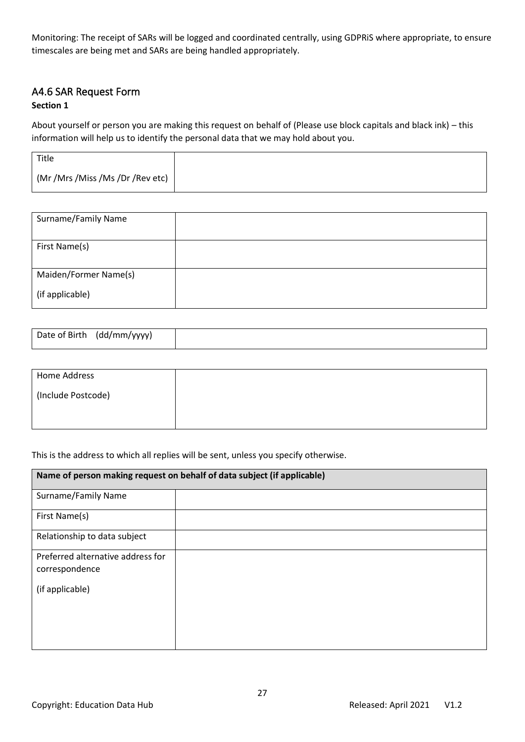Monitoring: The receipt of SARs will be logged and coordinated centrally, using GDPRiS where appropriate, to ensure timescales are being met and SARs are being handled appropriately.

### <span id="page-26-0"></span>A4.6 SAR Request Form

#### **Section 1**

About yourself or person you are making this request on behalf of (Please use block capitals and black ink) – this information will help us to identify the personal data that we may hold about you.

| Title                            |  |
|----------------------------------|--|
| (Mr /Mrs /Miss /Ms /Dr /Rev etc) |  |

| Surname/Family Name   |  |
|-----------------------|--|
| First Name(s)         |  |
| Maiden/Former Name(s) |  |
| (if applicable)       |  |

| Home Address       |  |
|--------------------|--|
| (Include Postcode) |  |
|                    |  |
|                    |  |

#### This is the address to which all replies will be sent, unless you specify otherwise.

| Name of person making request on behalf of data subject (if applicable) |  |  |
|-------------------------------------------------------------------------|--|--|
| Surname/Family Name                                                     |  |  |
| First Name(s)                                                           |  |  |
| Relationship to data subject                                            |  |  |
| Preferred alternative address for                                       |  |  |
| correspondence                                                          |  |  |
| (if applicable)                                                         |  |  |
|                                                                         |  |  |
|                                                                         |  |  |
|                                                                         |  |  |
|                                                                         |  |  |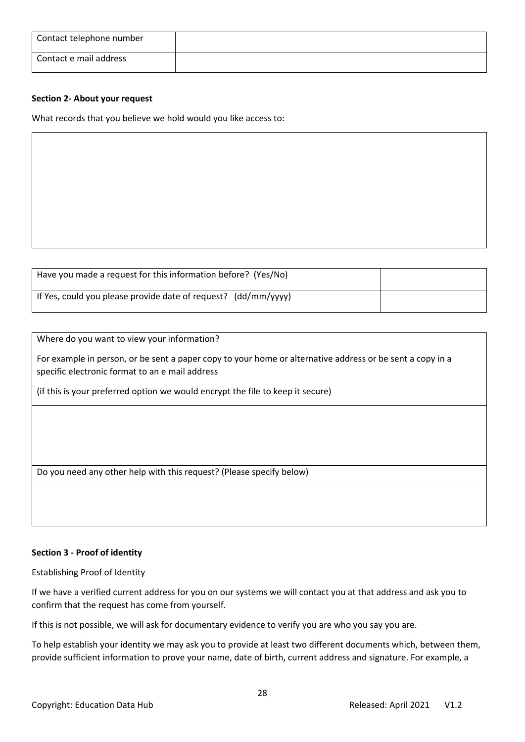| Contact telephone number |  |
|--------------------------|--|
| Contact e mail address   |  |

#### **Section 2- About your request**

What records that you believe we hold would you like access to:

| Have you made a request for this information before? (Yes/No)  |  |
|----------------------------------------------------------------|--|
| If Yes, could you please provide date of request? (dd/mm/yyyy) |  |

Where do you want to view your information?

For example in person, or be sent a paper copy to your home or alternative address or be sent a copy in a specific electronic format to an e mail address

(if this is your preferred option we would encrypt the file to keep it secure)

Do you need any other help with this request? (Please specify below)

#### **Section 3 - Proof of identity**

Establishing Proof of Identity

If we have a verified current address for you on our systems we will contact you at that address and ask you to confirm that the request has come from yourself.

If this is not possible, we will ask for documentary evidence to verify you are who you say you are.

To help establish your identity we may ask you to provide at least two different documents which, between them, provide sufficient information to prove your name, date of birth, current address and signature. For example, a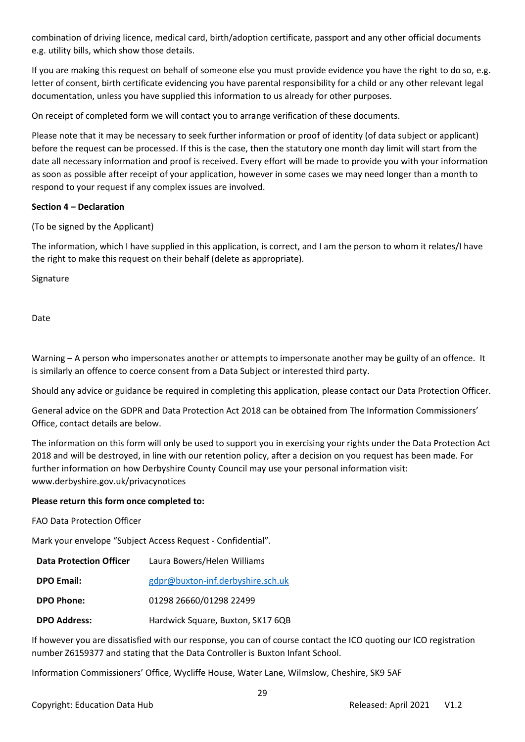combination of driving licence, medical card, birth/adoption certificate, passport and any other official documents e.g. utility bills, which show those details.

If you are making this request on behalf of someone else you must provide evidence you have the right to do so, e.g. letter of consent, birth certificate evidencing you have parental responsibility for a child or any other relevant legal documentation, unless you have supplied this information to us already for other purposes.

On receipt of completed form we will contact you to arrange verification of these documents.

Please note that it may be necessary to seek further information or proof of identity (of data subject or applicant) before the request can be processed. If this is the case, then the statutory one month day limit will start from the date all necessary information and proof is received. Every effort will be made to provide you with your information as soon as possible after receipt of your application, however in some cases we may need longer than a month to respond to your request if any complex issues are involved.

#### **Section 4 – Declaration**

(To be signed by the Applicant)

The information, which I have supplied in this application, is correct, and I am the person to whom it relates/I have the right to make this request on their behalf (delete as appropriate).

Signature

Date

Warning – A person who impersonates another or attempts to impersonate another may be guilty of an offence. It is similarly an offence to coerce consent from a Data Subject or interested third party.

Should any advice or guidance be required in completing this application, please contact our Data Protection Officer.

General advice on the GDPR and Data Protection Act 2018 can be obtained from The Information Commissioners' Office, contact details are below.

The information on this form will only be used to support you in exercising your rights under the Data Protection Act 2018 and will be destroyed, in line with our retention policy, after a decision on you request has been made. For further information on how Derbyshire County Council may use your personal information visit: www.derbyshire.gov.uk/privacynotices

#### **Please return this form once completed to:**

FAO Data Protection Officer

Mark your envelope "Subject Access Request - Confidential".

| <b>Data Protection Officer</b> | Laura Bowers/Helen Williams       |
|--------------------------------|-----------------------------------|
| <b>DPO Email:</b>              | gdpr@buxton-inf.derbyshire.sch.uk |
| <b>DPO Phone:</b>              | 01298 26660/01298 22499           |
| <b>DPO Address:</b>            | Hardwick Square, Buxton, SK17 6QB |

If however you are dissatisfied with our response, you can of course contact the ICO quoting our ICO registration number Z6159377 and stating that the Data Controller is Buxton Infant School.

Information Commissioners' Office, Wycliffe House, Water Lane, Wilmslow, Cheshire, SK9 5AF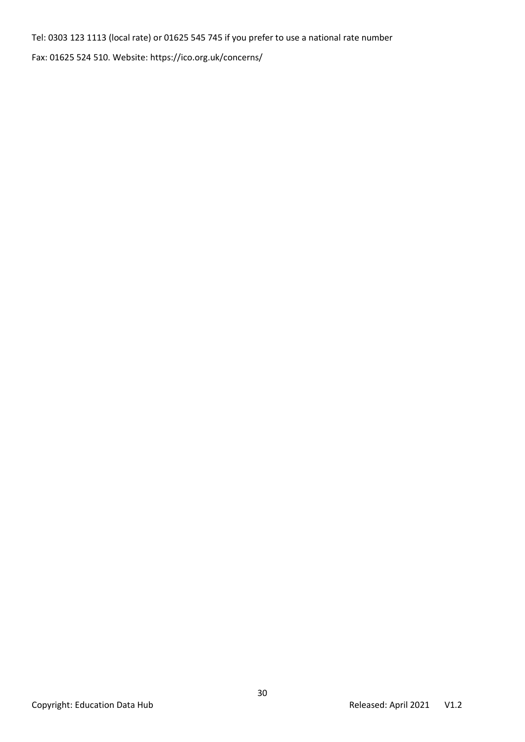Tel: 0303 123 1113 (local rate) or 01625 545 745 if you prefer to use a national rate number

Fax: 01625 524 510. Website: https://ico.org.uk/concerns/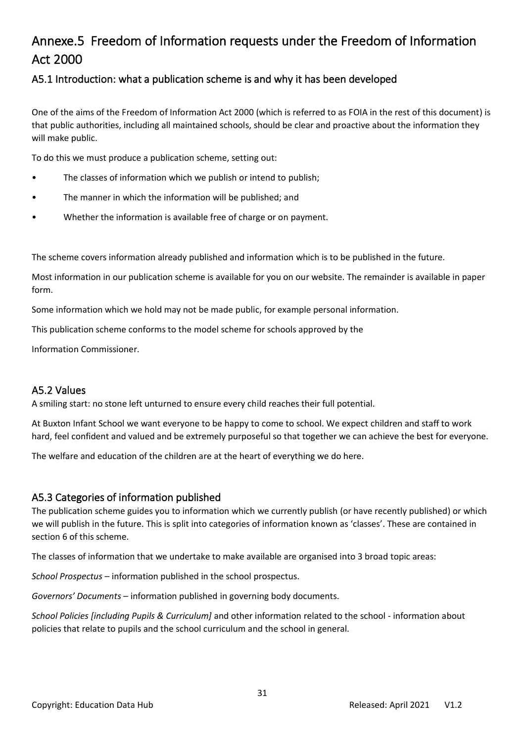# <span id="page-30-0"></span>Annexe.5 Freedom of Information requests under the Freedom of Information Act 2000

# <span id="page-30-1"></span>A5.1 Introduction: what a publication scheme is and why it has been developed

One of the aims of the Freedom of Information Act 2000 (which is referred to as FOIA in the rest of this document) is that public authorities, including all maintained schools, should be clear and proactive about the information they will make public.

To do this we must produce a publication scheme, setting out:

- The classes of information which we publish or intend to publish;
- The manner in which the information will be published; and
- Whether the information is available free of charge or on payment.

The scheme covers information already published and information which is to be published in the future.

Most information in our publication scheme is available for you on our website. The remainder is available in paper form.

Some information which we hold may not be made public, for example personal information.

This publication scheme conforms to the model scheme for schools approved by the

Information Commissioner.

### <span id="page-30-2"></span>A5.2 Values

A smiling start: no stone left unturned to ensure every child reaches their full potential.

At Buxton Infant School we want everyone to be happy to come to school. We expect children and staff to work hard, feel confident and valued and be extremely purposeful so that together we can achieve the best for everyone.

The welfare and education of the children are at the heart of everything we do here.

### <span id="page-30-3"></span>A5.3 Categories of information published

The publication scheme guides you to information which we currently publish (or have recently published) or which we will publish in the future. This is split into categories of information known as 'classes'. These are contained in section 6 of this scheme.

The classes of information that we undertake to make available are organised into 3 broad topic areas:

*School Prospectus* – information published in the school prospectus.

*Governors' Documents* – information published in governing body documents.

*School Policies [including Pupils & Curriculum]* and other information related to the school - information about policies that relate to pupils and the school curriculum and the school in general.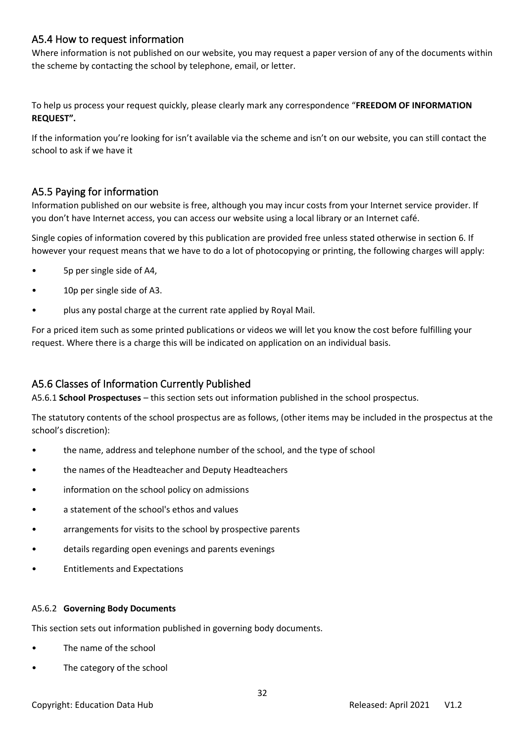# <span id="page-31-0"></span>A5.4 How to request information

Where information is not published on our website, you may request a paper version of any of the documents within the scheme by contacting the school by telephone, email, or letter.

To help us process your request quickly, please clearly mark any correspondence "**FREEDOM OF INFORMATION REQUEST".**

If the information you're looking for isn't available via the scheme and isn't on our website, you can still contact the school to ask if we have it

# <span id="page-31-1"></span>A5.5 Paying for information

Information published on our website is free, although you may incur costs from your Internet service provider. If you don't have Internet access, you can access our website using a local library or an Internet café.

Single copies of information covered by this publication are provided free unless stated otherwise in section 6. If however your request means that we have to do a lot of photocopying or printing, the following charges will apply:

- 5p per single side of A4,
- 10p per single side of A3.
- plus any postal charge at the current rate applied by Royal Mail.

For a priced item such as some printed publications or videos we will let you know the cost before fulfilling your request. Where there is a charge this will be indicated on application on an individual basis.

# <span id="page-31-2"></span>A5.6 Classes of Information Currently Published

A5.6.1 **School Prospectuses** – this section sets out information published in the school prospectus.

The statutory contents of the school prospectus are as follows, (other items may be included in the prospectus at the school's discretion):

- the name, address and telephone number of the school, and the type of school
- the names of the Headteacher and Deputy Headteachers
- information on the school policy on admissions
- a statement of the school's ethos and values
- arrangements for visits to the school by prospective parents
- details regarding open evenings and parents evenings
- Entitlements and Expectations

#### A5.6.2 **Governing Body Documents**

This section sets out information published in governing body documents.

- The name of the school
- The category of the school

#### Copyright: Education Data Hub Released: April 2021 V1.2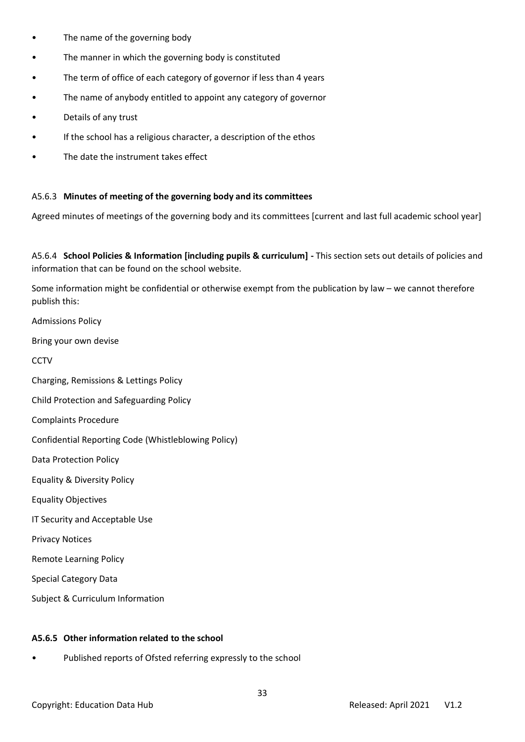- The name of the governing body
- The manner in which the governing body is constituted
- The term of office of each category of governor if less than 4 years
- The name of anybody entitled to appoint any category of governor
- Details of any trust
- If the school has a religious character, a description of the ethos
- The date the instrument takes effect

### A5.6.3 **Minutes of meeting of the governing body and its committees**

Agreed minutes of meetings of the governing body and its committees [current and last full academic school year]

A5.6.4 **School Policies & Information [including pupils & curriculum] -** This section sets out details of policies and information that can be found on the school website.

Some information might be confidential or otherwise exempt from the publication by law – we cannot therefore publish this:

Admissions Policy

Bring your own devise

**CCTV** 

Charging, Remissions & Lettings Policy

Child Protection and Safeguarding Policy

Complaints Procedure

Confidential Reporting Code (Whistleblowing Policy)

Data Protection Policy

Equality & Diversity Policy

Equality Objectives

IT Security and Acceptable Use

Privacy Notices

Remote Learning Policy

Special Category Data

Subject & Curriculum Information

#### **A5.6.5 Other information related to the school**

Published reports of Ofsted referring expressly to the school